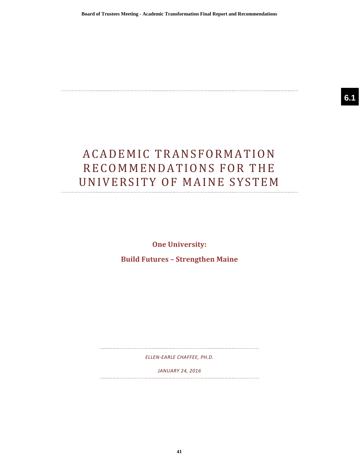# ACADEMIC TRANSFORMATION RECOMMENDATIONS FOR THE UNIVERSITY OF MAINE SYSTEM

**One University:** 

**Build Futures - Strengthen Maine** 

*ELLEN-EARLE CHAFFEE, PH.D.*

*JANUARY 24, 2016*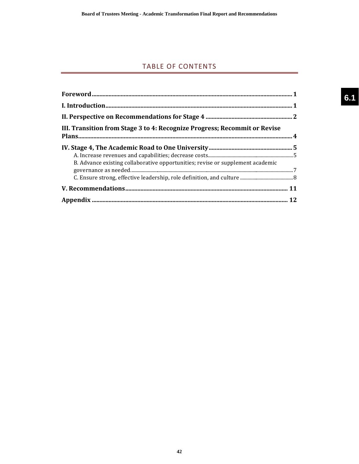# TABLE OF CONTENTS

| III. Transition from Stage 3 to 4: Recognize Progress; Recommit or Revise      |  |
|--------------------------------------------------------------------------------|--|
| B. Advance existing collaborative opportunities; revise or supplement academic |  |
|                                                                                |  |
|                                                                                |  |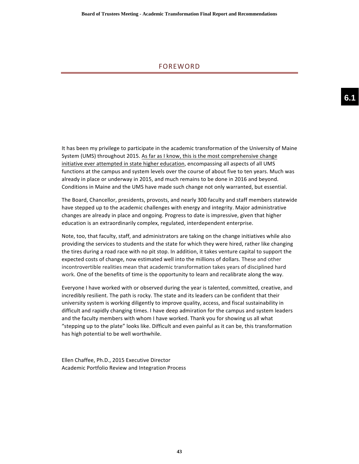## FOREWORD

It has been my privilege to participate in the academic transformation of the University of Maine System (UMS) throughout 2015. As far as I know, this is the most comprehensive change initiative ever attempted in state higher education, encompassing all aspects of all UMS functions at the campus and system levels over the course of about five to ten years. Much was already in place or underway in 2015, and much remains to be done in 2016 and beyond. Conditions in Maine and the UMS have made such change not only warranted, but essential.

The Board, Chancellor, presidents, provosts, and nearly 300 faculty and staff members statewide have stepped up to the academic challenges with energy and integrity. Major administrative changes are already in place and ongoing. Progress to date is impressive, given that higher education is an extraordinarily complex, regulated, interdependent enterprise.

Note, too, that faculty, staff, and administrators are taking on the change initiatives while also providing the services to students and the state for which they were hired, rather like changing the tires during a road race with no pit stop. In addition, it takes venture capital to support the expected costs of change, now estimated well into the millions of dollars. These and other incontrovertible realities mean that academic transformation takes years of disciplined hard work. One of the benefits of time is the opportunity to learn and recalibrate along the way.

Everyone I have worked with or observed during the year is talented, committed, creative, and incredibly resilient. The path is rocky. The state and its leaders can be confident that their university system is working diligently to improve quality, access, and fiscal sustainability in difficult and rapidly changing times. I have deep admiration for the campus and system leaders and the faculty members with whom I have worked. Thank you for showing us all what "stepping up to the plate" looks like. Difficult and even painful as it can be, this transformation has high potential to be well worthwhile.

Ellen Chaffee, Ph.D., 2015 Executive Director Academic Portfolio Review and Integration Process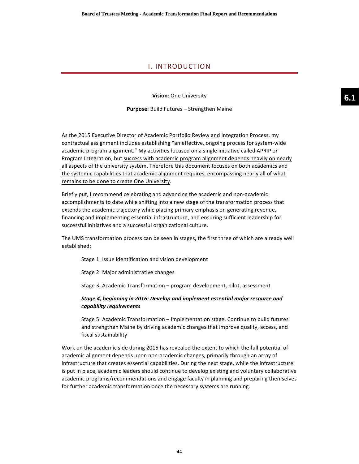# I. INTRODUCTION

**Vision**: One University

**Purpose**: Build Futures - Strengthen Maine

As the 2015 Executive Director of Academic Portfolio Review and Integration Process, my contractual assignment includes establishing "an effective, ongoing process for system-wide academic program alignment." My activities focused on a single initiative called APRIP or Program Integration, but success with academic program alignment depends heavily on nearly all aspects of the university system. Therefore this document focuses on both academics and the systemic capabilities that academic alignment requires, encompassing nearly all of what remains to be done to create One University.

Briefly put, I recommend celebrating and advancing the academic and non-academic accomplishments to date while shifting into a new stage of the transformation process that extends the academic trajectory while placing primary emphasis on generating revenue, financing and implementing essential infrastructure, and ensuring sufficient leadership for successful initiatives and a successful organizational culture.

The UMS transformation process can be seen in stages, the first three of which are already well established:

Stage 1: Issue identification and vision development

Stage 2: Major administrative changes

Stage 3: Academic Transformation – program development, pilot, assessment

## Stage 4, beginning in 2016: Develop and implement essential major resource and *capability requirements*

Stage 5: Academic Transformation – Implementation stage. Continue to build futures and strengthen Maine by driving academic changes that improve quality, access, and fiscal sustainability

Work on the academic side during 2015 has revealed the extent to which the full potential of academic alignment depends upon non-academic changes, primarily through an array of infrastructure that creates essential capabilities. During the next stage, while the infrastructure is put in place, academic leaders should continue to develop existing and voluntary collaborative academic programs/recommendations and engage faculty in planning and preparing themselves for further academic transformation once the necessary systems are running.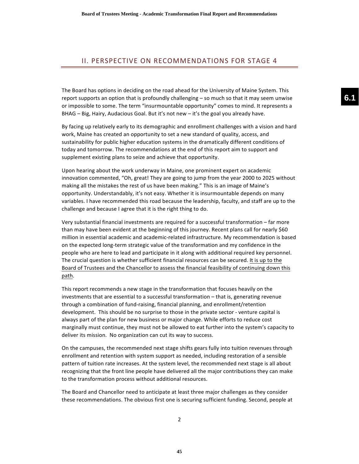# II. PERSPECTIVE ON RECOMMENDATIONS FOR STAGE 4

The Board has options in deciding on the road ahead for the University of Maine System. This report supports an option that is profoundly challenging  $-$  so much so that it may seem unwise or impossible to some. The term "insurmountable opportunity" comes to mind. It represents a BHAG – Big, Hairy, Audacious Goal. But it's not new – it's the goal you already have.

By facing up relatively early to its demographic and enrollment challenges with a vision and hard work, Maine has created an opportunity to set a new standard of quality, access, and sustainability for public higher education systems in the dramatically different conditions of today and tomorrow. The recommendations at the end of this report aim to support and supplement existing plans to seize and achieve that opportunity.

Upon hearing about the work underway in Maine, one prominent expert on academic innovation commented, "Oh, great! They are going to jump from the year 2000 to 2025 without making all the mistakes the rest of us have been making." This is an image of Maine's opportunity. Understandably, it's not easy. Whether it is insurmountable depends on many variables. I have recommended this road because the leadership, faculty, and staff are up to the challenge and because I agree that it is the right thing to do.

Very substantial financial investments are required for a successful transformation – far more than may have been evident at the beginning of this journey. Recent plans call for nearly \$60 million in essential academic and academic-related infrastructure. My recommendation is based on the expected long-term strategic value of the transformation and my confidence in the people who are here to lead and participate in it along with additional required key personnel. The crucial question is whether sufficient financial resources can be secured. It is up to the Board of Trustees and the Chancellor to assess the financial feasibility of continuing down this path. 

This report recommends a new stage in the transformation that focuses heavily on the investments that are essential to a successful transformation – that is, generating revenue through a combination of fund-raising, financial planning, and enrollment/retention development. This should be no surprise to those in the private sector - venture capital is always part of the plan for new business or major change. While efforts to reduce cost marginally must continue, they must not be allowed to eat further into the system's capacity to deliver its mission. No organization can cut its way to success.

On the campuses, the recommended next stage shifts gears fully into tuition revenues through enrollment and retention with system support as needed, including restoration of a sensible pattern of tuition rate increases. At the system level, the recommended next stage is all about recognizing that the front line people have delivered all the major contributions they can make to the transformation process without additional resources.

The Board and Chancellor need to anticipate at least three major challenges as they consider these recommendations. The obvious first one is securing sufficient funding. Second, people at **6.1**

2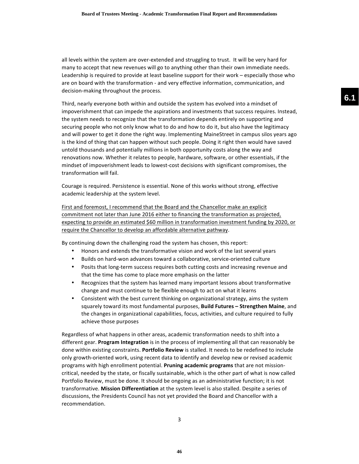all levels within the system are over-extended and struggling to trust. It will be very hard for many to accept that new revenues will go to anything other than their own immediate needs. Leadership is required to provide at least baseline support for their work – especially those who are on board with the transformation - and very effective information, communication, and decision-making throughout the process.

Third, nearly everyone both within and outside the system has evolved into a mindset of impoverishment that can impede the aspirations and investments that success requires. Instead, the system needs to recognize that the transformation depends entirely on supporting and securing people who not only know what to do and how to do it, but also have the legitimacy and will power to get it done the right way. Implementing MaineStreet in campus silos years ago is the kind of thing that can happen without such people. Doing it right then would have saved untold thousands and potentially millions in both opportunity costs along the way and renovations now. Whether it relates to people, hardware, software, or other essentials, if the mindset of impoverishment leads to lowest-cost decisions with significant compromises, the transformation will fail.

Courage is required. Persistence is essential. None of this works without strong, effective academic leadership at the system level.

First and foremost, I recommend that the Board and the Chancellor make an explicit commitment not later than June 2016 either to financing the transformation as projected, expecting to provide an estimated \$60 million in transformation investment funding by 2020, or require the Chancellor to develop an affordable alternative pathway.

By continuing down the challenging road the system has chosen, this report:

- Honors and extends the transformative vision and work of the last several years
- Builds on hard-won advances toward a collaborative, service-oriented culture
- Posits that long-term success requires both cutting costs and increasing revenue and that the time has come to place more emphasis on the latter
- Recognizes that the system has learned many important lessons about transformative change and must continue to be flexible enough to act on what it learns
- Consistent with the best current thinking on organizational strategy, aims the system squarely toward its most fundamental purposes, **Build Futures** - Strengthen Maine, and the changes in organizational capabilities, focus, activities, and culture required to fully achieve those purposes

Regardless of what happens in other areas, academic transformation needs to shift into a different gear. Program Integration is in the process of implementing all that can reasonably be done within existing constraints. **Portfolio Review** is stalled. It needs to be redefined to include only growth-oriented work, using recent data to identify and develop new or revised academic programs with high enrollment potential. **Pruning academic programs** that are not missioncritical, needed by the state, or fiscally sustainable, which is the other part of what is now called Portfolio Review, must be done. It should be ongoing as an administrative function; it is not transformative. Mission Differentiation at the system level is also stalled. Despite a series of discussions, the Presidents Council has not yet provided the Board and Chancellor with a recommendation.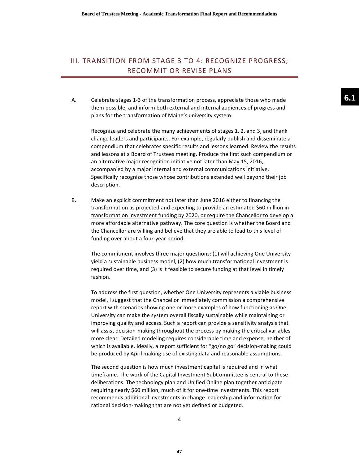# III. TRANSITION FROM STAGE 3 TO 4: RECOGNIZE PROGRESS; RECOMMIT OR REVISE PLANS

A. Celebrate stages 1-3 of the transformation process, appreciate those who made them possible, and inform both external and internal audiences of progress and plans for the transformation of Maine's university system.

Recognize and celebrate the many achievements of stages 1, 2, and 3, and thank change leaders and participants. For example, regularly publish and disseminate a compendium that celebrates specific results and lessons learned. Review the results and lessons at a Board of Trustees meeting. Produce the first such compendium or an alternative major recognition initiative not later than May 15, 2016, accompanied by a major internal and external communications initiative. Specifically recognize those whose contributions extended well beyond their job description.

B. Make an explicit commitment not later than June 2016 either to financing the transformation as projected and expecting to provide an estimated \$60 million in transformation investment funding by 2020, or require the Chancellor to develop a more affordable alternative pathway. The core question is whether the Board and the Chancellor are willing and believe that they are able to lead to this level of funding over about a four-year period.

The commitment involves three major questions: (1) will achieving One University yield a sustainable business model, (2) how much transformational investment is required over time, and (3) is it feasible to secure funding at that level in timely fashion.

To address the first question, whether One University represents a viable business model, I suggest that the Chancellor immediately commission a comprehensive report with scenarios showing one or more examples of how functioning as One University can make the system overall fiscally sustainable while maintaining or improving quality and access. Such a report can provide a sensitivity analysis that will assist decision-making throughout the process by making the critical variables more clear. Detailed modeling requires considerable time and expense, neither of which is available. Ideally, a report sufficient for "go/no go" decision-making could be produced by April making use of existing data and reasonable assumptions.

The second question is how much investment capital is required and in what timeframe. The work of the Capital Investment SubCommittee is central to these deliberations. The technology plan and Unified Online plan together anticipate requiring nearly \$60 million, much of it for one-time investments. This report recommends additional investments in change leadership and information for rational decision-making that are not yet defined or budgeted.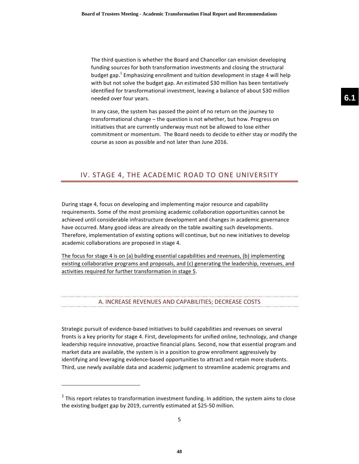The third question is whether the Board and Chancellor can envision developing funding sources for both transformation investments and closing the structural budget gap.<sup>1</sup> Emphasizing enrollment and tuition development in stage 4 will help with but not solve the budget gap. An estimated \$30 million has been tentatively identified for transformational investment, leaving a balance of about \$30 million needed over four years.

In any case, the system has passed the point of no return on the journey to transformational change – the question is not whether, but how. Progress on initiatives that are currently underway must not be allowed to lose either commitment or momentum. The Board needs to decide to either stay or modify the course as soon as possible and not later than June 2016.

## IV. STAGE 4, THE ACADEMIC ROAD TO ONE UNIVERSITY

During stage 4, focus on developing and implementing major resource and capability requirements. Some of the most promising academic collaboration opportunities cannot be achieved until considerable infrastructure development and changes in academic governance have occurred. Many good ideas are already on the table awaiting such developments. Therefore, implementation of existing options will continue, but no new initiatives to develop academic collaborations are proposed in stage 4.

The focus for stage 4 is on (a) building essential capabilities and revenues, (b) implementing existing collaborative programs and proposals, and (c) generating the leadership, revenues, and activities required for further transformation in stage 5.

# A. INCREASE REVENUES AND CAPABILITIES: DECREASE COSTS

Strategic pursuit of evidence-based initiatives to build capabilities and revenues on several fronts is a key priority for stage 4. First, developments for unified online, technology, and change leadership require innovative, proactive financial plans. Second, now that essential program and market data are available, the system is in a position to grow enrollment aggressively by identifying and leveraging evidence-based opportunities to attract and retain more students. Third, use newly available data and academic judgment to streamline academic programs and

<u> 1989 - Johann Stein, fransk politik (d. 1989)</u>

5

 $<sup>1</sup>$  This report relates to transformation investment funding. In addition, the system aims to close</sup> the existing budget gap by 2019, currently estimated at \$25-50 million.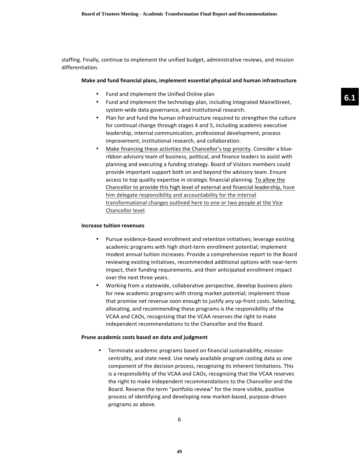staffing. Finally, continue to implement the unified budget, administrative reviews, and mission differentiation.

### **Make and fund financial plans, implement essential physical and human infrastructure**

- Fund and implement the Unified Online plan
- Fund and implement the technology plan, including integrated MaineStreet, system-wide data governance, and institutional research.
- Plan for and fund the human infrastructure required to strengthen the culture for continual change through stages 4 and 5, including academic executive leadership, internal communication, professional development, process improvement, institutional research, and collaboration.
- Make financing these activities the Chancellor's top priority. Consider a blueribbon advisory team of business, political, and finance leaders to assist with planning and executing a funding strategy. Board of Visitors members could provide important support both on and beyond the advisory team. Ensure access to top quality expertise in strategic financial planning. To allow the Chancellor to provide this high level of external and financial leadership, have him delegate responsibility and accountability for the internal transformational changes outlined here to one or two people at the Vice Chancellor level.

#### **Increase tuition revenues**

- Pursue evidence-based enrollment and retention initiatives; leverage existing academic programs with high short-term enrollment potential; implement modest annual tuition increases. Provide a comprehensive report to the Board reviewing existing initiatives, recommended additional options with near-term impact, their funding requirements, and their anticipated enrollment impact over the next three years.
- Working from a statewide, collaborative perspective, develop business plans for new academic programs with strong market potential; implement those that promise net revenue soon enough to justify any up-front costs. Selecting, allocating, and recommending these programs is the responsibility of the VCAA and CAOs, recognizing that the VCAA reserves the right to make independent recommendations to the Chancellor and the Board.

#### **Prune academic costs based on data and judgment**

• Terminate academic programs based on financial sustainability, mission centrality, and state need. Use newly available program costing data as one component of the decision process, recognizing its inherent limitations. This is a responsibility of the VCAA and CAOs, recognizing that the VCAA reserves the right to make independent recommendations to the Chancellor and the Board. Reserve the term "portfolio review" for the more visible, positive process of identifying and developing new market-based, purpose-driven programs as above.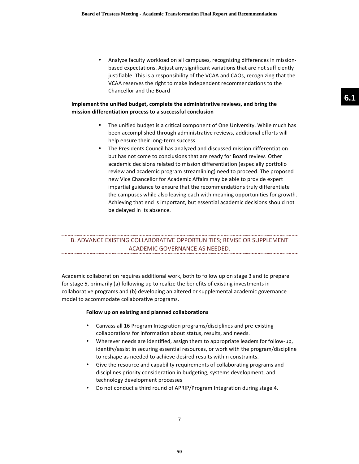• Analyze faculty workload on all campuses, recognizing differences in missionbased expectations. Adjust any significant variations that are not sufficiently justifiable. This is a responsibility of the VCAA and CAOs, recognizing that the VCAA reserves the right to make independent recommendations to the Chancellor and the Board

## **Implement the unified budget, complete the administrative reviews, and bring the mission differentiation process to a successful conclusion**

- The unified budget is a critical component of One University. While much has been accomplished through administrative reviews, additional efforts will help ensure their long-term success.
- The Presidents Council has analyzed and discussed mission differentiation but has not come to conclusions that are ready for Board review. Other academic decisions related to mission differentiation (especially portfolio review and academic program streamlining) need to proceed. The proposed new Vice Chancellor for Academic Affairs may be able to provide expert impartial guidance to ensure that the recommendations truly differentiate the campuses while also leaving each with meaning opportunities for growth. Achieving that end is important, but essential academic decisions should not be delayed in its absence.

# B. ADVANCE EXISTING COLLABORATIVE OPPORTUNITIES; REVISE OR SUPPLEMENT ACADEMIC GOVERNANCE AS NEEDED.

Academic collaboration requires additional work, both to follow up on stage 3 and to prepare for stage 5, primarily (a) following up to realize the benefits of existing investments in collaborative programs and (b) developing an altered or supplemental academic governance model to accommodate collaborative programs.

### **Follow up on existing and planned collaborations**

- Canvass all 16 Program Integration programs/disciplines and pre-existing collaborations for information about status, results, and needs.
- Wherever needs are identified, assign them to appropriate leaders for follow-up, identify/assist in securing essential resources, or work with the program/discipline to reshape as needed to achieve desired results within constraints.
- Give the resource and capability requirements of collaborating programs and disciplines priority consideration in budgeting, systems development, and technology development processes
- Do not conduct a third round of APRIP/Program Integration during stage 4.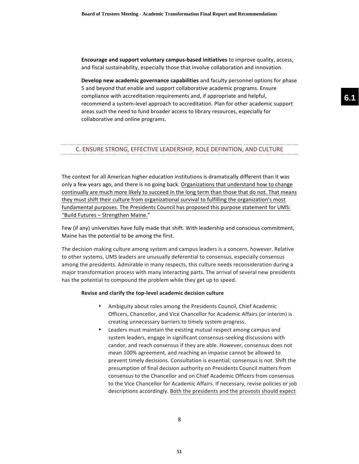**Encourage and support voluntary campus-based initiatives** to improve quality, access, and fiscal sustainability, especially those that involve collaboration and innovation.

**Develop new academic governance capabilities** and faculty personnel options for phase 5 and beyond that enable and support collaborative academic programs. Ensure compliance with accreditation requirements and, if appropriate and helpful, recommend a system-level approach to accreditation. Plan for other academic support areas such the need to fund broader access to library resources, especially for collaborative and online programs.

## C. ENSURE STRONG, EFFECTIVE LEADERSHIP, ROLE DEFINITION, AND CULTURE

The context for all American higher education institutions is dramatically different than it was only a few years ago, and there is no going back. Organizations that understand how to change continually are much more likely to succeed in the long term than those that do not. That means they must shift their culture from organizational survival to fulfilling the organization's most fundamental purposes. The Presidents Council has proposed this purpose statement for UMS: "Build Futures - Strengthen Maine."

Few (if any) universities have fully made that shift. With leadership and conscious commitment, Maine has the potential to be among the first.

The decision-making culture among system and campus leaders is a concern, however. Relative to other systems, UMS leaders are unusually deferential to consensus, especially consensus among the presidents. Admirable in many respects, this culture needs reconsideration during a major transformation process with many interacting parts. The arrival of several new presidents has the potential to compound the problem while they get up to speed.

#### Revise and clarify the top-level academic decision culture

- Ambiguity about roles among the Presidents Council, Chief Academic Officers, Chancellor, and Vice Chancellor for Academic Affairs (or interim) is creating unnecessary barriers to timely system progress.
- Leaders must maintain the existing mutual respect among campus and system leaders, engage in significant consensus-seeking discussions with candor, and reach consensus if they are able. However, consensus does not mean 100% agreement, and reaching an impasse cannot be allowed to prevent timely decisions. Consultation is essential; consensus is not. Shift the presumption of final decision authority on Presidents Council matters from consensus to the Chancellor and on Chief Academic Officers from consensus to the Vice Chancellor for Academic Affairs. If necessary, revise policies or job descriptions accordingly. Both the presidents and the provosts should expect

**51**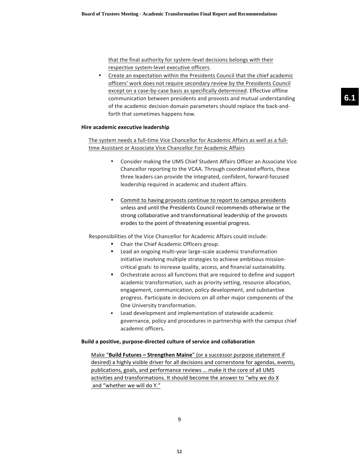that the final authority for system-level decisions belongs with their respective system-level executive officers.

Create an expectation within the Presidents Council that the chief academic officers' work does not require secondary review by the Presidents Council except on a case-by-case basis as specifically determined. Effective offline communication between presidents and provosts and mutual understanding of the academic decision domain parameters should replace the back-andforth that sometimes happens how.

### **Hire academic executive leadership**

The system needs a full-time Vice Chancellor for Academic Affairs as well as a fulltime Assistant or Associate Vice Chancellor For Academic Affairs

- Consider making the UMS Chief Student Affairs Officer an Associate Vice Chancellor reporting to the VCAA. Through coordinated efforts, these three leaders can provide the integrated, confident, forward-focused leadership required in academic and student affairs.
- Commit to having provosts continue to report to campus presidents unless and until the Presidents Council recommends otherwise or the strong collaborative and transformational leadership of the provosts erodes to the point of threatening essential progress.

Responsibilities of the Vice Chancellor for Academic Affairs could include:

- Chair the Chief Academic Officers group.
- Lead an ongoing multi-year large-scale academic transformation initiative involving multiple strategies to achieve ambitious missioncritical goals: to increase quality, access, and financial sustainability.
- Orchestrate across all functions that are required to define and support academic transformation, such as priority setting, resource allocation, engagement, communication, policy development, and substantive progress. Participate in decisions on all other major components of the One University transformation.
- Lead development and implementation of statewide academic governance, policy and procedures in partnership with the campus chief academic officers.

### **Build a positive, purpose-directed culture of service and collaboration**

Make "Build Futures - Strengthen Maine" (or a successor purpose statement if desired) a highly visible driver for all decisions and cornerstone for agendas, events, publications, goals, and performance reviews ... make it the core of all UMS activities and transformations. It should become the answer to "why we do X and "whether we will do Y."

**6.1**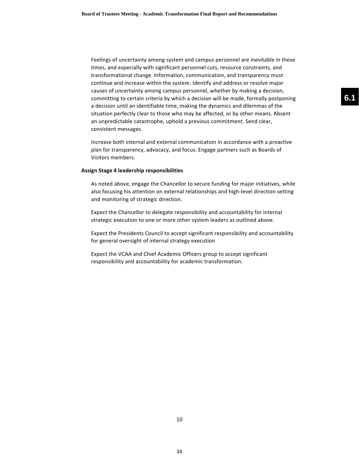Feelings of uncertainty among system and campus personnel are inevitable in these times, and especially with significant personnel cuts, resource constraints, and transformational change. Information, communication, and transparency must continue and increase within the system. Identify and address or resolve major causes of uncertainty among campus personnel, whether by making a decision, committing to certain criteria by which a decision will be made, formally postponing a decision until an identifiable time, making the dynamics and dilemmas of the situation perfectly clear to those who may be affected, or by other means. Absent an unpredictable catastrophe, uphold a previous commitment. Send clear, consistent messages.

Increase both internal and external communication in accordance with a proactive plan for transparency, advocacy, and focus. Engage partners such as Boards of Visitors members.

### **Assign Stage 4 leadership responsibilities**

As noted above, engage the Chancellor to secure funding for major initiatives, while also focusing his attention on external relationships and high-level direction setting and monitoring of strategic direction.

Expect the Chancellor to delegate responsibility and accountability for internal strategic execution to one or more other system leaders as outlined above.

Expect the Presidents Council to accept significant responsibility and accountability for general oversight of internal strategy execution

Expect the VCAA and Chief Academic Officers group to accept significant responsibility and accountability for academic transformation.

**6.1**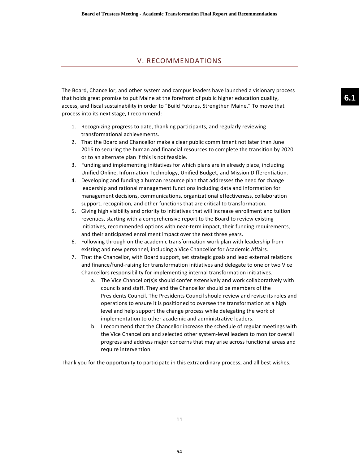## V. RECOMMENDATIONS

The Board, Chancellor, and other system and campus leaders have launched a visionary process that holds great promise to put Maine at the forefront of public higher education quality, access, and fiscal sustainability in order to "Build Futures, Strengthen Maine." To move that process into its next stage, I recommend:

- 1. Recognizing progress to date, thanking participants, and regularly reviewing transformational achievements.
- 2. That the Board and Chancellor make a clear public commitment not later than June 2016 to securing the human and financial resources to complete the transition by 2020 or to an alternate plan if this is not feasible.
- 3. Funding and implementing initiatives for which plans are in already place, including Unified Online, Information Technology, Unified Budget, and Mission Differentiation.
- 4. Developing and funding a human resource plan that addresses the need for change leadership and rational management functions including data and information for management decisions, communications, organizational effectiveness, collaboration support, recognition, and other functions that are critical to transformation.
- 5. Giving high visibility and priority to initiatives that will increase enrollment and tuition revenues, starting with a comprehensive report to the Board to review existing initiatives, recommended options with near-term impact, their funding requirements, and their anticipated enrollment impact over the next three years.
- 6. Following through on the academic transformation work plan with leadership from existing and new personnel, including a Vice Chancellor for Academic Affairs.
- 7. That the Chancellor, with Board support, set strategic goals and lead external relations and finance/fund-raising for transformation initiatives and delegate to one or two Vice Chancellors responsibility for implementing internal transformation initiatives.
	- a. The Vice Chancellor(s)s should confer extensively and work collaboratively with councils and staff. They and the Chancellor should be members of the Presidents Council. The Presidents Council should review and revise its roles and operations to ensure it is positioned to oversee the transformation at a high level and help support the change process while delegating the work of implementation to other academic and administrative leaders.
	- b. I recommend that the Chancellor increase the schedule of regular meetings with the Vice Chancellors and selected other system-level leaders to monitor overall progress and address major concerns that may arise across functional areas and require intervention.

Thank you for the opportunity to participate in this extraordinary process, and all best wishes.

**6.1**